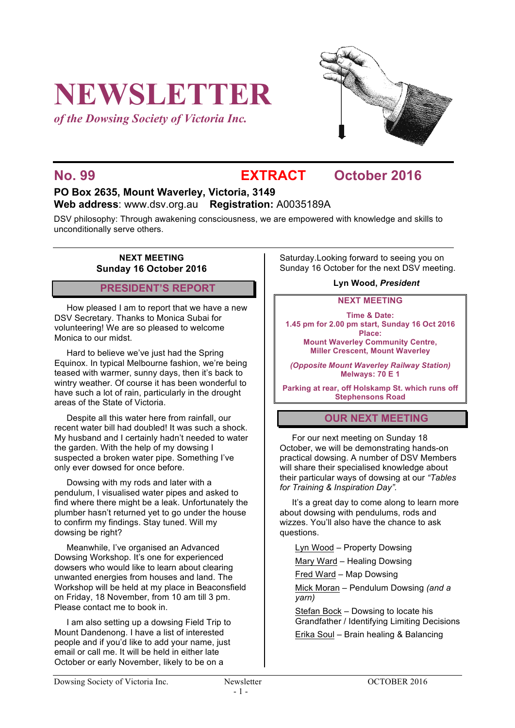# **NEWSLETTER**

*of the Dowsing Society of Victoria Inc.*



## **No. 99 EXTRACT October 2016**

### **PO Box 2635, Mount Waverley, Victoria, 3149 Web address**: www.dsv.org.au **Registration:** A0035189A

DSV philosophy: Through awakening consciousness, we are empowered with knowledge and skills to unconditionally serve others.

#### **NEXT MEETING Sunday 16 October 2016**

#### **PRESIDENT'S REPORT**

How pleased I am to report that we have a new DSV Secretary. Thanks to Monica Subai for volunteering! We are so pleased to welcome Monica to our midst.

Hard to believe we've just had the Spring Equinox. In typical Melbourne fashion, we're being teased with warmer, sunny days, then it's back to wintry weather. Of course it has been wonderful to have such a lot of rain, particularly in the drought areas of the State of Victoria.

Despite all this water here from rainfall, our recent water bill had doubled! It was such a shock. My husband and I certainly hadn't needed to water the garden. With the help of my dowsing I suspected a broken water pipe. Something I've only ever dowsed for once before.

Dowsing with my rods and later with a pendulum, I visualised water pipes and asked to find where there might be a leak. Unfortunately the plumber hasn't returned yet to go under the house to confirm my findings. Stay tuned. Will my dowsing be right?

Meanwhile, I've organised an Advanced Dowsing Workshop. It's one for experienced dowsers who would like to learn about clearing unwanted energies from houses and land. The Workshop will be held at my place in Beaconsfield on Friday, 18 November, from 10 am till 3 pm. Please contact me to book in.

I am also setting up a dowsing Field Trip to Mount Dandenong. I have a list of interested people and if you'd like to add your name, just email or call me. It will be held in either late October or early November, likely to be on a

Saturday.Looking forward to seeing you on Sunday 16 October for the next DSV meeting.

#### **Lyn Wood,** *President*

**NEXT MEETING**

**Time & Date: 1.45 pm for 2.00 pm start, Sunday 16 Oct 2016 Place:**

**Mount Waverley Community Centre, Miller Crescent, Mount Waverley**

*(Opposite Mount Waverley Railway Station)* **Melways: 70 E 1**

**Parking at rear, off Holskamp St. which runs off Stephensons Road**

#### **OUR NEXT MEETING**

For our next meeting on Sunday 18 October, we will be demonstrating hands-on practical dowsing. A number of DSV Members will share their specialised knowledge about their particular ways of dowsing at our *"Tables for Training & Inspiration Day".*

It's a great day to come along to learn more about dowsing with pendulums, rods and wizzes. You'll also have the chance to ask questions.

Lyn Wood – Property Dowsing

Mary Ward – Healing Dowsing

Fred Ward – Map Dowsing

Mick Moran – Pendulum Dowsing *(and a yarn)*

Stefan Bock – Dowsing to locate his Grandfather / Identifying Limiting Decisions

Erika Soul – Brain healing & Balancing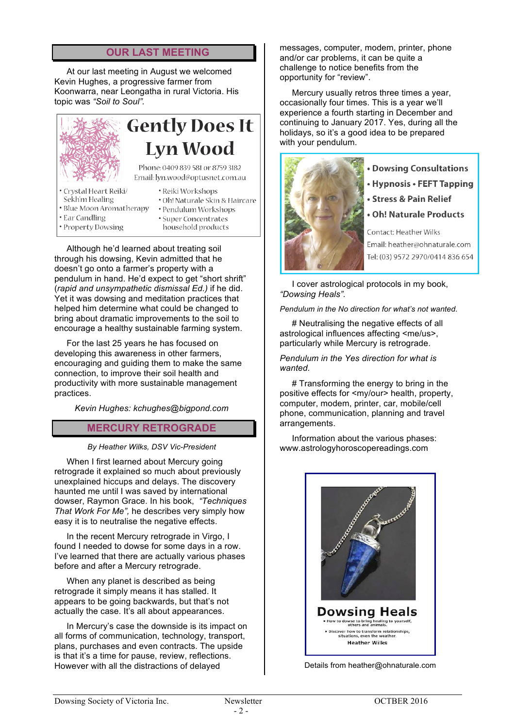#### **OUR LAST MEETING**

At our last meeting in August we welcomed Kevin Hughes, a progressive farmer from Koonwarra, near Leongatha in rural Victoria. His topic was *"Soil to Soul".*

#### **Gently Does It Lyn Wood** Phone: 0409 839 581 or 8759 3182 Email: lyn.wood@optusnet.com.au · Crystal Heart Reiki/ • Reiki Workshops Sekh'm Healing · Oh! Naturale Skin & Haircare • Blue Moon Aromatherapy

- Ear Candling
- · Pendulum Workshops
- · Property Dowsing
- · Super Concentrates household products

Although he'd learned about treating soil through his dowsing, Kevin admitted that he doesn't go onto a farmer's property with a pendulum in hand. He'd expect to get "short shrift" (*rapid and unsympathetic dismissal Ed.)* if he did. Yet it was dowsing and meditation practices that helped him determine what could be changed to bring about dramatic improvements to the soil to encourage a healthy sustainable farming system.

For the last 25 years he has focused on developing this awareness in other farmers, encouraging and guiding them to make the same connection, to improve their soil health and productivity with more sustainable management practices.

*Kevin Hughes: kchughes@bigpond.com*

### **MERCURY RETROGRADE**

#### *By Heather Wilks, DSV Vic-President*

When I first learned about Mercury going retrograde it explained so much about previously unexplained hiccups and delays. The discovery haunted me until I was saved by international dowser, Raymon Grace. In his book, *"Techniques That Work For Me",* he describes very simply how easy it is to neutralise the negative effects.

In the recent Mercury retrograde in Virgo, I found I needed to dowse for some days in a row. I've learned that there are actually various phases before and after a Mercury retrograde.

When any planet is described as being retrograde it simply means it has stalled. It appears to be going backwards, but that's not actually the case. It's all about appearances.

In Mercury's case the downside is its impact on all forms of communication, technology, transport, plans, purchases and even contracts. The upside is that it's a time for pause, review, reflections. However with all the distractions of delayed

messages, computer, modem, printer, phone and/or car problems, it can be quite a challenge to notice benefits from the opportunity for "review".

Mercury usually retros three times a year, occasionally four times. This is a year we'll experience a fourth starting in December and continuing to January 2017. Yes, during all the holidays, so it's a good idea to be prepared with your pendulum.



- **. Dowsing Consultations**
- Hypnosis FEFT Tapping
- · Stress & Pain Relief
- **Oh! Naturale Products**

Contact: Heather Wilks Email: heather@ohnaturale.com Tel: (03) 9572 2970/0414 836 654

I cover astrological protocols in my book, *"Dowsing Heals".*

*Pendulum in the No direction for what's not wanted*.

# Neutralising the negative effects of all astrological influences affecting <me/us>, particularly while Mercury is retrograde.

#### *Pendulum in the Yes direction for what is wanted.*

# Transforming the energy to bring in the positive effects for <my/our> health, property, computer, modem, printer, car, mobile/cell phone, communication, planning and travel arrangements.

Information about the various phases: www.astrologyhoroscopereadings.com



Details from heather@ohnaturale.com